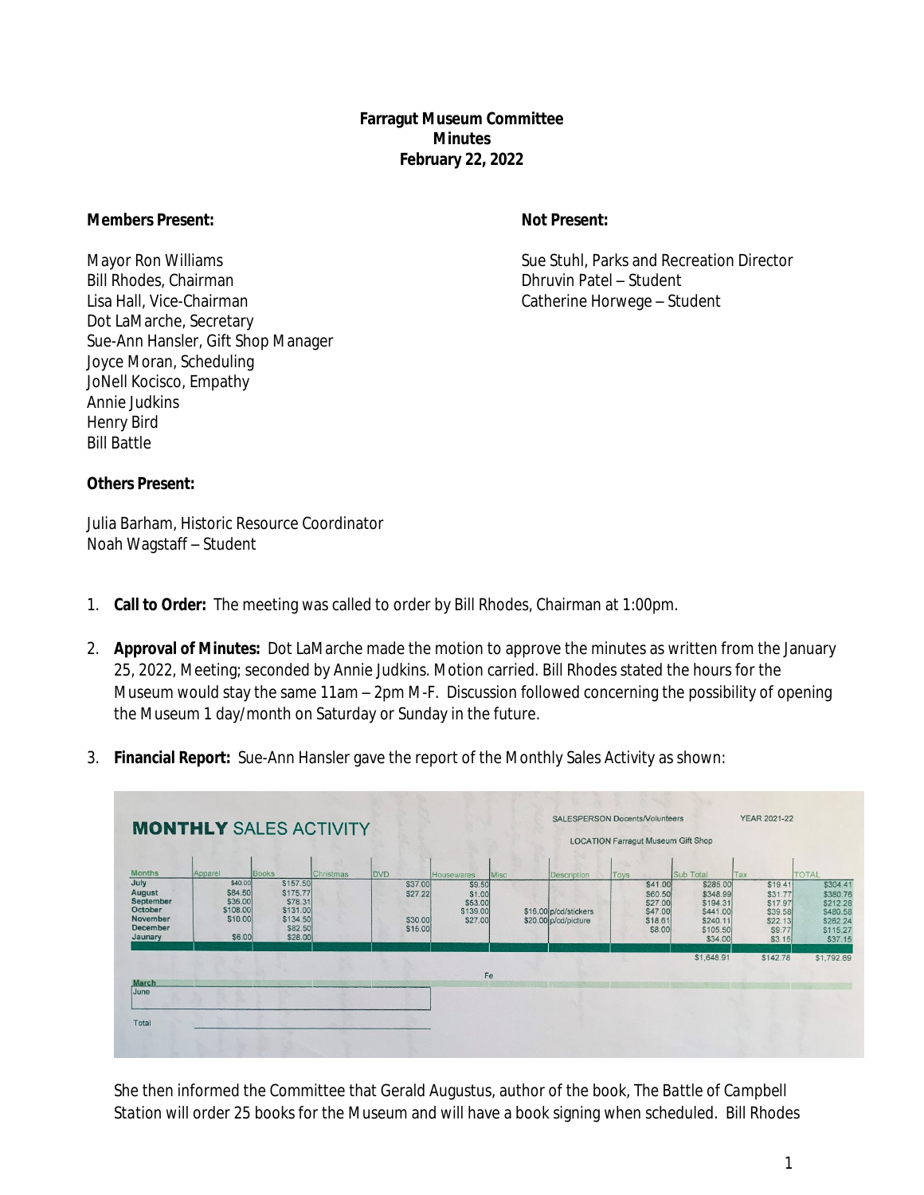**Farragut Museum Committee Minutes February 22, 2022**

#### **Members Present: Not Present:**

Bill Rhodes, Chairman Dhruvin Patel – Student Lisa Hall, Vice-Chairman Catherine Horwege – Student Dot LaMarche, Secretary Sue-Ann Hansler, Gift Shop Manager Joyce Moran, Scheduling JoNell Kocisco, Empathy Annie Judkins Henry Bird Bill Battle

Mayor Ron Williams **Sue Stuhl, Parks and Recreation Director** Sue Stuhl, Parks and Recreation Director

#### **Others Present:**

Julia Barham, Historic Resource Coordinator Noah Wagstaff – Student

- 1. **Call to Order:** The meeting was called to order by Bill Rhodes, Chairman at 1:00pm.
- 2. **Approval of Minutes:** Dot LaMarche made the motion to approve the minutes as written from the January 25, 2022, Meeting; seconded by Annie Judkins. Motion carried. Bill Rhodes stated the hours for the Museum would stay the same 11am – 2pm M-F. Discussion followed concerning the possibility of opening the Museum 1 day/month on Saturday or Sunday in the future.
- 3. **Financial Report:** Sue-Ann Hansler gave the report of the Monthly Sales Activity as shown:



She then informed the Committee that Gerald Augustus, author of the book, *The Battle of Campbell Station* will order 25 books for the Museum and will have a book signing when scheduled. Bill Rhodes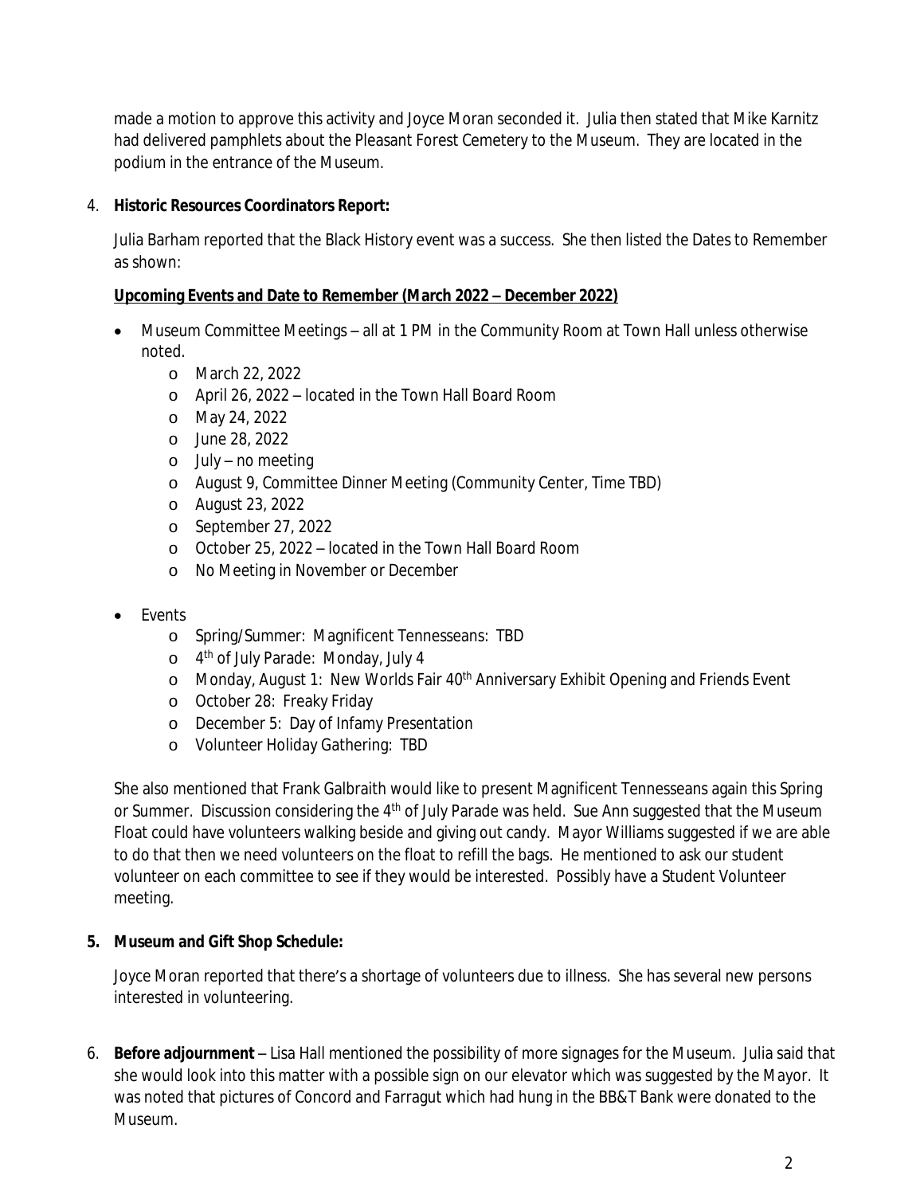made a motion to approve this activity and Joyce Moran seconded it. Julia then stated that Mike Karnitz had delivered pamphlets about the Pleasant Forest Cemetery to the Museum. They are located in the podium in the entrance of the Museum.

# 4. **Historic Resources Coordinators Report:**

Julia Barham reported that the Black History event was a success. She then listed the Dates to Remember as shown:

## **Upcoming Events and Date to Remember (March 2022 – December 2022)**

- Museum Committee Meetings all at 1 PM in the Community Room at Town Hall unless otherwise noted.
	- o March 22, 2022
	- o April 26, 2022 located in the Town Hall Board Room
	- o May 24, 2022
	- o June 28, 2022
	- o July no meeting
	- o August 9, Committee Dinner Meeting (Community Center, Time TBD)
	- o August 23, 2022
	- o September 27, 2022
	- o October 25, 2022 located in the Town Hall Board Room
	- o No Meeting in November or December
- Events
	- o Spring/Summer: Magnificent Tennesseans: TBD
	- o 4 th of July Parade: Monday, July 4
	- o Monday, August 1: New Worlds Fair 40<sup>th</sup> Anniversary Exhibit Opening and Friends Event
	- o October 28: Freaky Friday
	- o December 5: Day of Infamy Presentation
	- o Volunteer Holiday Gathering: TBD

She also mentioned that Frank Galbraith would like to present Magnificent Tennesseans again this Spring or Summer. Discussion considering the 4<sup>th</sup> of July Parade was held. Sue Ann suggested that the Museum Float could have volunteers walking beside and giving out candy. Mayor Williams suggested if we are able to do that then we need volunteers on the float to refill the bags. He mentioned to ask our student volunteer on each committee to see if they would be interested. Possibly have a Student Volunteer meeting.

## **5. Museum and Gift Shop Schedule:**

Joyce Moran reported that there's a shortage of volunteers due to illness. She has several new persons interested in volunteering.

6. **Before adjournment** – Lisa Hall mentioned the possibility of more signages for the Museum. Julia said that she would look into this matter with a possible sign on our elevator which was suggested by the Mayor. It was noted that pictures of Concord and Farragut which had hung in the BB&T Bank were donated to the Museum.